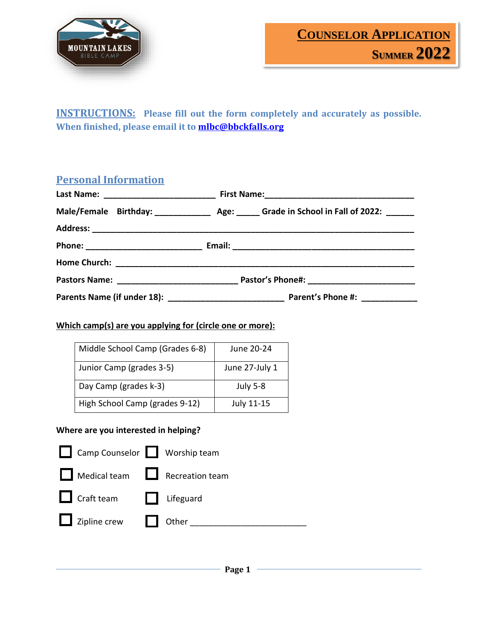

**INSTRUCTIONS: Please fill out the form completely and accurately as possible. When finished, please email it t[o mlbc@bbckfalls.org](mailto:mlbc@bbckfalls.org)**

## **Personal Information**

| Male/Female Birthday: _______________ Age: ______ Grade in School in Fall of 2022: ______ |
|-------------------------------------------------------------------------------------------|
|                                                                                           |
|                                                                                           |
|                                                                                           |
|                                                                                           |
|                                                                                           |

#### **Which camp(s) are you applying for (circle one or more):**

| Middle School Camp (Grades 6-8) | June 20-24      |
|---------------------------------|-----------------|
| Junior Camp (grades 3-5)        | June 27-July 1  |
| Day Camp (grades k-3)           | <b>July 5-8</b> |
| High School Camp (grades 9-12)  | July 11-15      |

### **Where are you interested in helping?**

| Camp Counselor Worship team  |  |
|------------------------------|--|
| Medical team Recreation team |  |
| Craft team Lifeguard         |  |
| Zipline crew cher _____      |  |